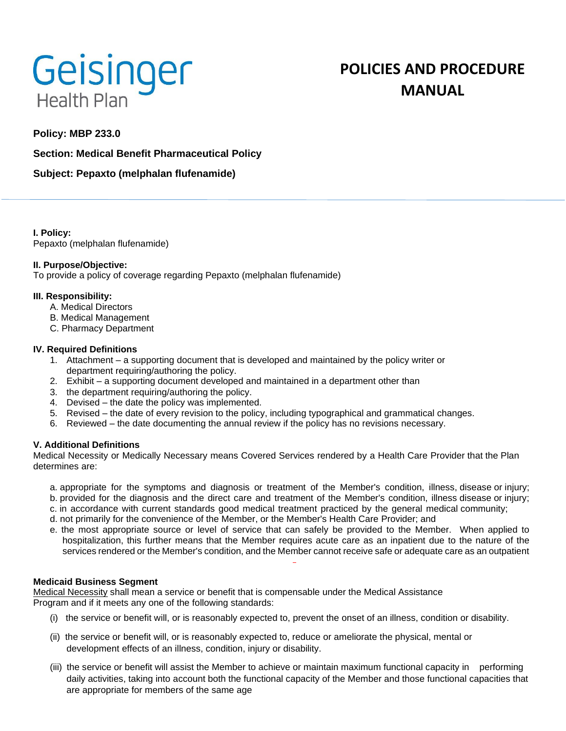

# **POLICIES AND PROCEDURE MANUAL**

## **Policy: MBP 233.0**

**Section: Medical Benefit Pharmaceutical Policy**

## **Subject: Pepaxto (melphalan flufenamide)**

**I. Policy:** Pepaxto (melphalan flufenamide)

## **II. Purpose/Objective:**

To provide a policy of coverage regarding Pepaxto (melphalan flufenamide)

## **III. Responsibility:**

- A. Medical Directors
- B. Medical Management
- C. Pharmacy Department

#### **IV. Required Definitions**

- 1. Attachment a supporting document that is developed and maintained by the policy writer or department requiring/authoring the policy.
- 2. Exhibit a supporting document developed and maintained in a department other than
- 3. the department requiring/authoring the policy.
- 4. Devised the date the policy was implemented.
- 5. Revised the date of every revision to the policy, including typographical and grammatical changes.
- 6. Reviewed the date documenting the annual review if the policy has no revisions necessary.

## **V. Additional Definitions**

Medical Necessity or Medically Necessary means Covered Services rendered by a Health Care Provider that the Plan determines are:

- a. appropriate for the symptoms and diagnosis or treatment of the Member's condition, illness, disease or injury;
- b. provided for the diagnosis and the direct care and treatment of the Member's condition, illness disease or injury;
- c. in accordance with current standards good medical treatment practiced by the general medical community;
- d. not primarily for the convenience of the Member, or the Member's Health Care Provider; and
- e. the most appropriate source or level of service that can safely be provided to the Member. When applied to hospitalization, this further means that the Member requires acute care as an inpatient due to the nature of the services rendered or the Member's condition, and the Member cannot receive safe or adequate care as an outpatient

## **Medicaid Business Segment**

Medical Necessity shall mean a service or benefit that is compensable under the Medical Assistance Program and if it meets any one of the following standards:

- (i) the service or benefit will, or is reasonably expected to, prevent the onset of an illness, condition or disability.
- (ii) the service or benefit will, or is reasonably expected to, reduce or ameliorate the physical, mental or development effects of an illness, condition, injury or disability.
- (iii) the service or benefit will assist the Member to achieve or maintain maximum functional capacity in performing daily activities, taking into account both the functional capacity of the Member and those functional capacities that are appropriate for members of the same age